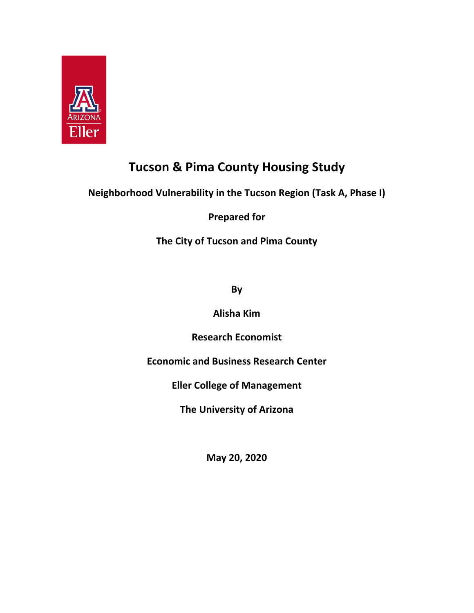

# **Tucson & Pima County Housing Study**

# **Neighborhood Vulnerability in the Tucson Region (Task A, Phase I)**

**Prepared for**

**The City of Tucson and Pima County**

**By** 

**Alisha Kim**

**Research Economist**

**Economic and Business Research Center**

**Eller College of Management**

**The University of Arizona**

**May 20, 2020**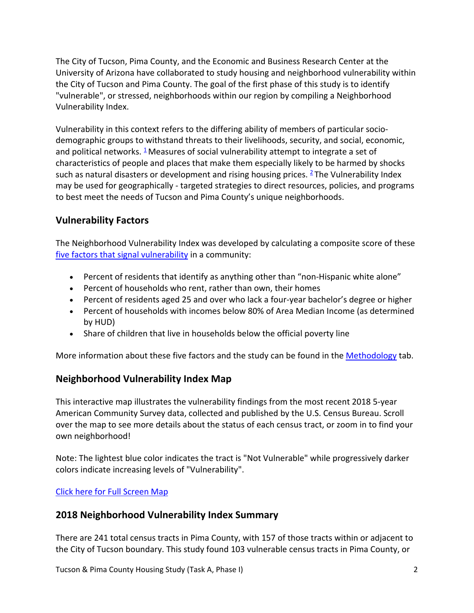The City of Tucson, Pima County, and the Economic and Business Research Center at the University of Arizona have collaborated to study housing and neighborhood vulnerability within the City of Tucson and Pima County. The goal of the first phase of this study is to identify "vulnerable", or stressed, neighborhoods within our region by compiling a Neighborhood Vulnerability Index.

Vulnerability in this context refers to the differing ability of members of particular socio‐ demographic groups to withstand threats to their livelihoods, security, and social, economic, and political networks.  $\frac{1}{2}$  Measures of social vulnerability attempt to integrate a set of characteristics of people and places that make them especially likely to be harmed by shocks such as natural disasters or development and rising housing prices.  $2$  The Vulnerability Index may be used for geographically ‐ targeted strategies to direct resources, policies, and programs to best meet the needs of Tucson and Pima County's unique neighborhoods.

# **Vulnerability Factors**

The Neighborhood Vulnerability Index was developed by calculating a composite score of these five factors that signal vulnerability in a community:

- Percent of residents that identify as anything other than "non-Hispanic white alone"
- Percent of households who rent, rather than own, their homes
- Percent of residents aged 25 and over who lack a four-year bachelor's degree or higher
- Percent of households with incomes below 80% of Area Median Income (as determined by HUD)
- Share of children that live in households below the official poverty line

More information about these five factors and the study can be found in the Methodology tab.

# **Neighborhood Vulnerability Index Map**

This interactive map illustrates the vulnerability findings from the most recent 2018 5‐year American Community Survey data, collected and published by the U.S. Census Bureau. Scroll over the map to see more details about the status of each census tract, or zoom in to find your own neighborhood!

Note: The lightest blue color indicates the tract is "Not Vulnerable" while progressively darker colors indicate increasing levels of "Vulnerability".

Click here for Full Screen Map

# **2018 Neighborhood Vulnerability Index Summary**

There are 241 total census tracts in Pima County, with 157 of those tracts within or adjacent to the City of Tucson boundary. This study found 103 vulnerable census tracts in Pima County, or

Tucson & Pima County Housing Study (Task A, Phase I) 2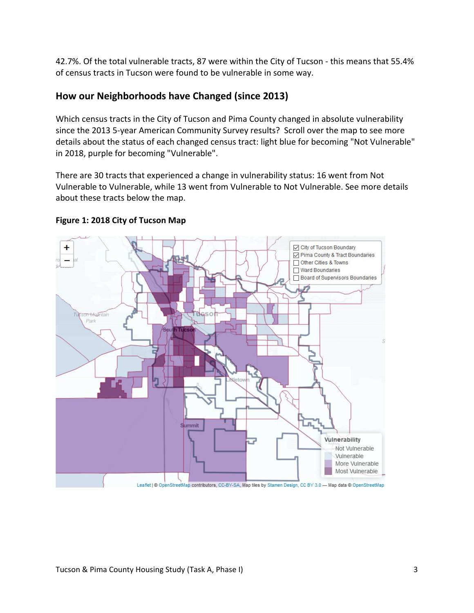42.7%. Of the total vulnerable tracts, 87 were within the City of Tucson - this means that 55.4% of census tracts in Tucson were found to be vulnerable in some way.

# **How our Neighborhoods have Changed (since 2013)**

Which census tracts in the City of Tucson and Pima County changed in absolute vulnerability since the 2013 5-year American Community Survey results? Scroll over the map to see more details about the status of each changed census tract: light blue for becoming "Not Vulnerable" in 2018, purple for becoming "Vulnerable".

There are 30 tracts that experienced a change in vulnerability status: 16 went from Not Vulnerable to Vulnerable, while 13 went from Vulnerable to Not Vulnerable. See more details about these tracts below the map.



#### **Figure 1: 2018 City of Tucson Map**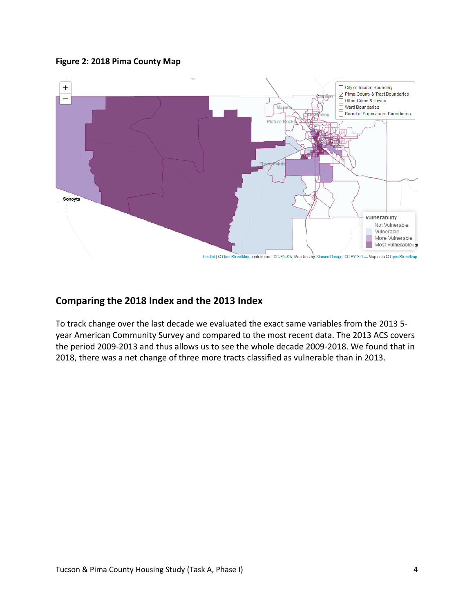#### **Figure 2: 2018 Pima County Map**



# **Comparing the 2018 Index and the 2013 Index**

To track change over the last decade we evaluated the exact same variables from the 2013 5‐ year American Community Survey and compared to the most recent data. The 2013 ACS covers the period 2009‐2013 and thus allows us to see the whole decade 2009‐2018. We found that in 2018, there was a net change of three more tracts classified as vulnerable than in 2013.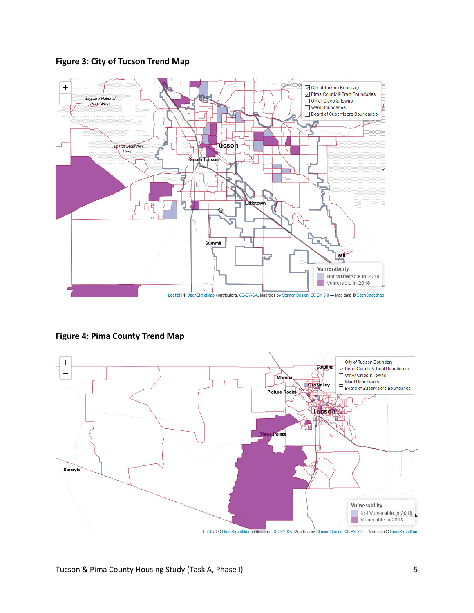**Figure 3: City of Tucson Trend Map**



**Figure 4: Pima County Trend Map**

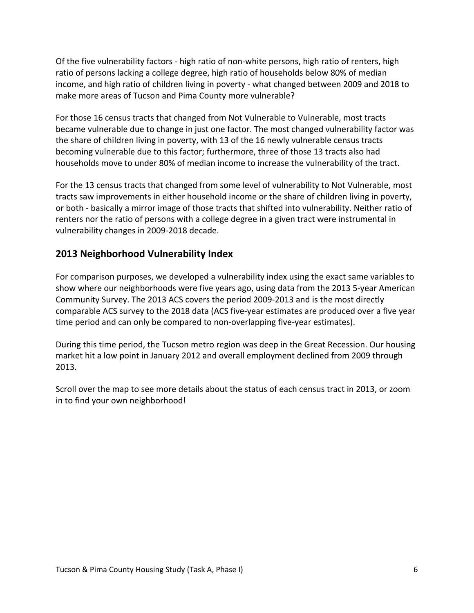Of the five vulnerability factors ‐ high ratio of non‐white persons, high ratio of renters, high ratio of persons lacking a college degree, high ratio of households below 80% of median income, and high ratio of children living in poverty ‐ what changed between 2009 and 2018 to make more areas of Tucson and Pima County more vulnerable?

For those 16 census tracts that changed from Not Vulnerable to Vulnerable, most tracts became vulnerable due to change in just one factor. The most changed vulnerability factor was the share of children living in poverty, with 13 of the 16 newly vulnerable census tracts becoming vulnerable due to this factor; furthermore, three of those 13 tracts also had households move to under 80% of median income to increase the vulnerability of the tract.

For the 13 census tracts that changed from some level of vulnerability to Not Vulnerable, most tracts saw improvements in either household income or the share of children living in poverty, or both ‐ basically a mirror image of those tracts that shifted into vulnerability. Neither ratio of renters nor the ratio of persons with a college degree in a given tract were instrumental in vulnerability changes in 2009‐2018 decade.

# **2013 Neighborhood Vulnerability Index**

For comparison purposes, we developed a vulnerability index using the exact same variables to show where our neighborhoods were five years ago, using data from the 2013 5‐year American Community Survey. The 2013 ACS covers the period 2009‐2013 and is the most directly comparable ACS survey to the 2018 data (ACS five‐year estimates are produced over a five year time period and can only be compared to non-overlapping five-year estimates).

During this time period, the Tucson metro region was deep in the Great Recession. Our housing market hit a low point in January 2012 and overall employment declined from 2009 through 2013.

Scroll over the map to see more details about the status of each census tract in 2013, or zoom in to find your own neighborhood!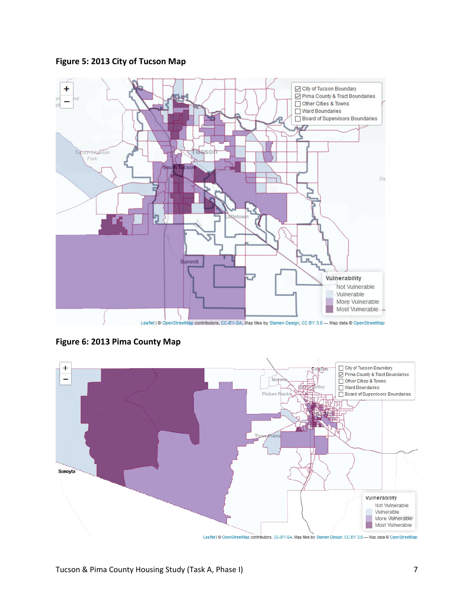#### **Figure 5: 2013 City of Tucson Map**



**Figure 6: 2013 Pima County Map**

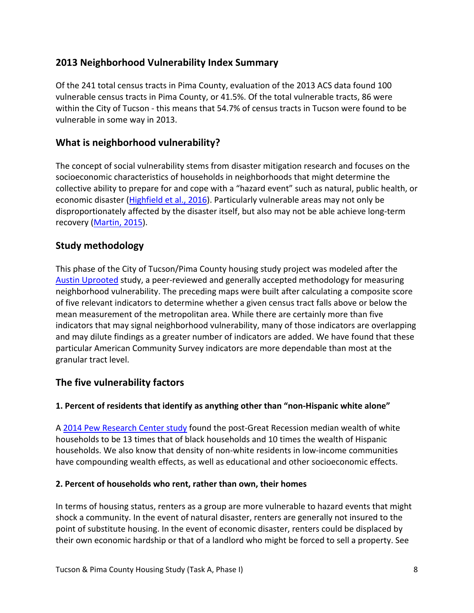# **2013 Neighborhood Vulnerability Index Summary**

Of the 241 total census tracts in Pima County, evaluation of the 2013 ACS data found 100 vulnerable census tracts in Pima County, or 41.5%. Of the total vulnerable tracts, 86 were within the City of Tucson ‐ this means that 54.7% of census tracts in Tucson were found to be vulnerable in some way in 2013.

# **What is neighborhood vulnerability?**

The concept of social vulnerability stems from disaster mitigation research and focuses on the socioeconomic characteristics of households in neighborhoods that might determine the collective ability to prepare for and cope with a "hazard event" such as natural, public health, or economic disaster (Highfield et al., 2016). Particularly vulnerable areas may not only be disproportionately affected by the disaster itself, but also may not be able achieve long‐term recovery (Martin, 2015).

# **Study methodology**

This phase of the City of Tucson/Pima County housing study project was modeled after the Austin Uprooted study, a peer‐reviewed and generally accepted methodology for measuring neighborhood vulnerability. The preceding maps were built after calculating a composite score of five relevant indicators to determine whether a given census tract falls above or below the mean measurement of the metropolitan area. While there are certainly more than five indicators that may signal neighborhood vulnerability, many of those indicators are overlapping and may dilute findings as a greater number of indicators are added. We have found that these particular American Community Survey indicators are more dependable than most at the granular tract level.

# **The five vulnerability factors**

#### **1. Percent of residents that identify as anything other than "non‐Hispanic white alone"**

A 2014 Pew Research Center study found the post‐Great Recession median wealth of white households to be 13 times that of black households and 10 times the wealth of Hispanic households. We also know that density of non‐white residents in low‐income communities have compounding wealth effects, as well as educational and other socioeconomic effects.

#### **2. Percent of households who rent, rather than own, their homes**

In terms of housing status, renters as a group are more vulnerable to hazard events that might shock a community. In the event of natural disaster, renters are generally not insured to the point of substitute housing. In the event of economic disaster, renters could be displaced by their own economic hardship or that of a landlord who might be forced to sell a property. See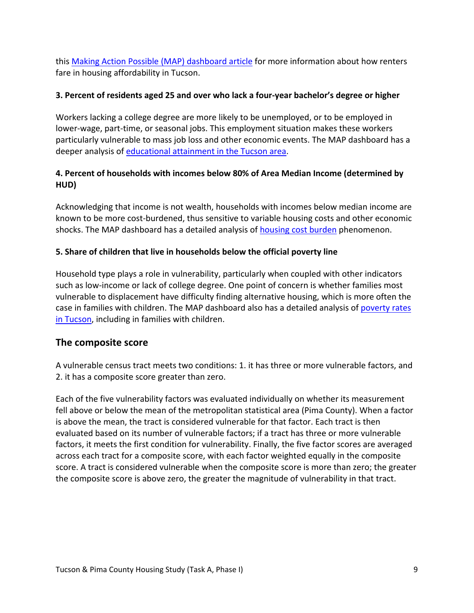this Making Action Possible (MAP) dashboard article for more information about how renters fare in housing affordability in Tucson.

#### **3. Percent of residents aged 25 and over who lack a four‐year bachelor's degree or higher**

Workers lacking a college degree are more likely to be unemployed, or to be employed in lower-wage, part-time, or seasonal jobs. This employment situation makes these workers particularly vulnerable to mass job loss and other economic events. The MAP dashboard has a deeper analysis of educational attainment in the Tucson area.

#### **4. Percent of households with incomes below 80% of Area Median Income (determined by HUD)**

Acknowledging that income is not wealth, households with incomes below median income are known to be more cost-burdened, thus sensitive to variable housing costs and other economic shocks. The MAP dashboard has a detailed analysis of **housing cost burden** phenomenon.

#### **5. Share of children that live in households below the official poverty line**

Household type plays a role in vulnerability, particularly when coupled with other indicators such as low‐income or lack of college degree. One point of concern is whether families most vulnerable to displacement have difficulty finding alternative housing, which is more often the case in families with children. The MAP dashboard also has a detailed analysis of poverty rates in Tucson, including in families with children.

#### **The composite score**

A vulnerable census tract meets two conditions: 1. it has three or more vulnerable factors, and 2. it has a composite score greater than zero.

Each of the five vulnerability factors was evaluated individually on whether its measurement fell above or below the mean of the metropolitan statistical area (Pima County). When a factor is above the mean, the tract is considered vulnerable for that factor. Each tract is then evaluated based on its number of vulnerable factors; if a tract has three or more vulnerable factors, it meets the first condition for vulnerability. Finally, the five factor scores are averaged across each tract for a composite score, with each factor weighted equally in the composite score. A tract is considered vulnerable when the composite score is more than zero; the greater the composite score is above zero, the greater the magnitude of vulnerability in that tract.